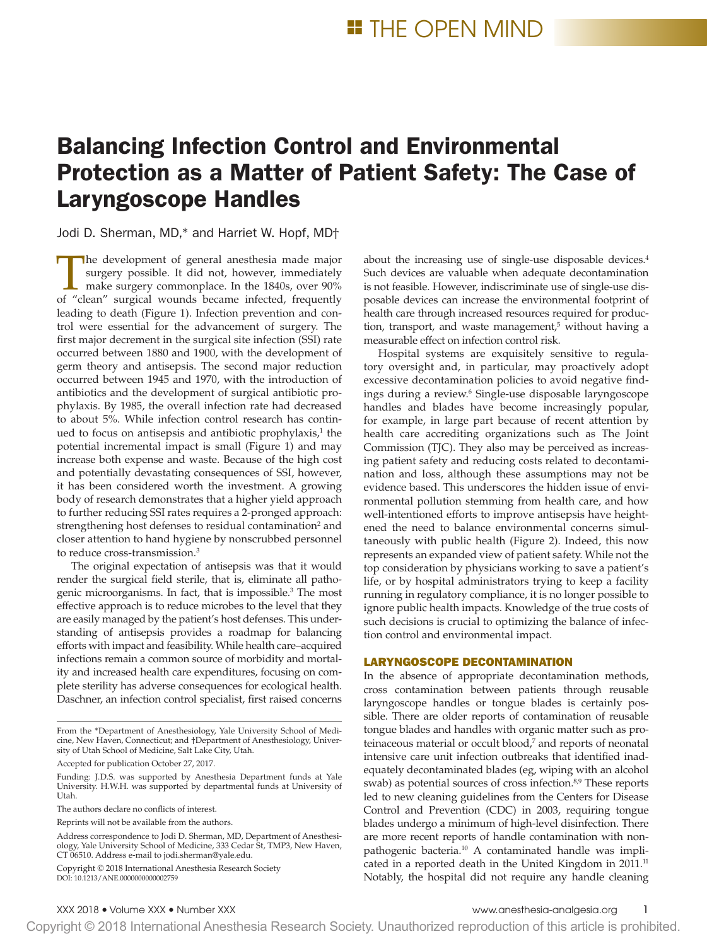# Balancing Infection Control and Environmental Protection as a Matter of Patient Safety: The Case of Laryngoscope Handles

Jodi D. Sherman, MD,\* and Harriet W. Hopf, MD†

The development of general anesthesia made major surgery possible. It did not, however, immediately make surgery commonplace. In the 1840s, over 90% of "clean" surgical wounds became infected, frequently leading to death (Figure 1). Infection prevention and control were essential for the advancement of surgery. The first major decrement in the surgical site infection (SSI) rate occurred between 1880 and 1900, with the development of germ theory and antisepsis. The second major reduction occurred between 1945 and 1970, with the introduction of antibiotics and the development of surgical antibiotic prophylaxis. By 1985, the overall infection rate had decreased to about 5%. While infection control research has continued to focus on antisepsis and antibiotic prophylaxis,<sup>1</sup> the potential incremental impact is small (Figure 1) and may increase both expense and waste. Because of the high cost and potentially devastating consequences of SSI, however, it has been considered worth the investment. A growing body of research demonstrates that a higher yield approach to further reducing SSI rates requires a 2-pronged approach: strengthening host defenses to residual contamination<sup>2</sup> and closer attention to hand hygiene by nonscrubbed personnel to reduce cross-transmission.3

The original expectation of antisepsis was that it would render the surgical field sterile, that is, eliminate all pathogenic microorganisms. In fact, that is impossible.<sup>3</sup> The most effective approach is to reduce microbes to the level that they are easily managed by the patient's host defenses. This understanding of antisepsis provides a roadmap for balancing efforts with impact and feasibility. While health care–acquired infections remain a common source of morbidity and mortality and increased health care expenditures, focusing on complete sterility has adverse consequences for ecological health. Daschner, an infection control specialist, first raised concerns

Reprints will not be available from the authors.

DOI: 10.1213/ANE.0000000000002759 Copyright © 2018 International Anesthesia Research Society about the increasing use of single-use disposable devices.4 Such devices are valuable when adequate decontamination is not feasible. However, indiscriminate use of single-use disposable devices can increase the environmental footprint of health care through increased resources required for production, transport, and waste management,<sup>5</sup> without having a measurable effect on infection control risk.

Hospital systems are exquisitely sensitive to regulatory oversight and, in particular, may proactively adopt excessive decontamination policies to avoid negative findings during a review.6 Single-use disposable laryngoscope handles and blades have become increasingly popular, for example, in large part because of recent attention by health care accrediting organizations such as The Joint Commission (TJC). They also may be perceived as increasing patient safety and reducing costs related to decontamination and loss, although these assumptions may not be evidence based. This underscores the hidden issue of environmental pollution stemming from health care, and how well-intentioned efforts to improve antisepsis have heightened the need to balance environmental concerns simultaneously with public health (Figure 2). Indeed, this now represents an expanded view of patient safety. While not the top consideration by physicians working to save a patient's life, or by hospital administrators trying to keep a facility running in regulatory compliance, it is no longer possible to ignore public health impacts. Knowledge of the true costs of such decisions is crucial to optimizing the balance of infection control and environmental impact.

# LARYNGOSCOPE DECONTAMINATION

In the absence of appropriate decontamination methods, cross contamination between patients through reusable laryngoscope handles or tongue blades is certainly possible. There are older reports of contamination of reusable tongue blades and handles with organic matter such as proteinaceous material or occult blood,<sup>7</sup> and reports of neonatal intensive care unit infection outbreaks that identified inadequately decontaminated blades (eg, wiping with an alcohol swab) as potential sources of cross infection.<sup>8,9</sup> These reports led to new cleaning guidelines from the Centers for Disease Control and Prevention (CDC) in 2003, requiring tongue blades undergo a minimum of high-level disinfection. There are more recent reports of handle contamination with nonpathogenic bacteria.<sup>10</sup> A contaminated handle was implicated in a reported death in the United Kingdom in 2011.<sup>11</sup> Notably, the hospital did not require any handle cleaning

From the \*Department of Anesthesiology, Yale University School of Medicine, New Haven, Connecticut; and †Department of Anesthesiology, University of Utah School of Medicine, Salt Lake City, Utah.

Accepted for publication October 27, 2017.

Funding: J.D.S. was supported by Anesthesia Department funds at Yale University. H.W.H. was supported by departmental funds at University of Utah.

The authors declare no conflicts of interest.

Address correspondence to Jodi D. Sherman, MD, Department of Anesthesiology, Yale University School of Medicine, 333 Cedar St, TMP3, New Haven, CT 06510. Address e-mail to [jodi.sherman@yale.edu.](mailto:jodi.sherman@yale.edu)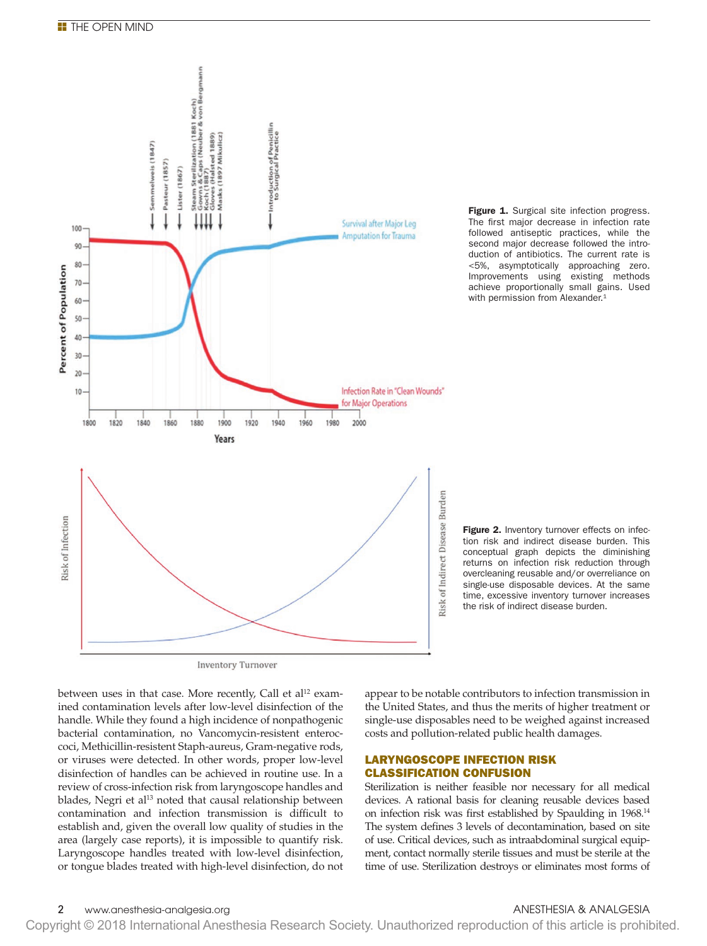

Figure 1. Surgical site infection progress. The first major decrease in infection rate followed antiseptic practices, while the second major decrease followed the introduction of antibiotics. The current rate is <5%, asymptotically approaching zero. Improvements using existing methods achieve proportionally small gains. Used with permission from Alexander.<sup>1</sup>

Figure 2. Inventory turnover effects on infection risk and indirect disease burden. This conceptual graph depicts the diminishing returns on infection risk reduction through overcleaning reusable and/or overreliance on single-use disposable devices. At the same time, excessive inventory turnover increases the risk of indirect disease burden.

between uses in that case. More recently, Call et  $al<sup>12</sup>$  examined contamination levels after low-level disinfection of the handle. While they found a high incidence of nonpathogenic bacterial contamination, no Vancomycin-resistent enteroccoci, Methicillin-resistent Staph-aureus, Gram-negative rods, or viruses were detected. In other words, proper low-level disinfection of handles can be achieved in routine use. In a review of cross-infection risk from laryngoscope handles and blades, Negri et al<sup>13</sup> noted that causal relationship between contamination and infection transmission is difficult to establish and, given the overall low quality of studies in the area (largely case reports), it is impossible to quantify risk. Laryngoscope handles treated with low-level disinfection, or tongue blades treated with high-level disinfection, do not

appear to be notable contributors to infection transmission in the United States, and thus the merits of higher treatment or single-use disposables need to be weighed against increased costs and pollution-related public health damages.

# LARYNGOSCOPE INFECTION RISK CLASSIFICATION CONFUSION

Sterilization is neither feasible nor necessary for all medical devices. A rational basis for cleaning reusable devices based on infection risk was first established by Spaulding in 1968.14 The system defines 3 levels of decontamination, based on site of use. Critical devices, such as intraabdominal surgical equipment, contact normally sterile tissues and must be sterile at the time of use. Sterilization destroys or eliminates most forms of

# 2 www.anesthesia-analgesia.org ANESTHESIA & ANALGESIA

Copyright © 2018 International Anesthesia Research Society. Unauthorized reproduction of this article is prohibited.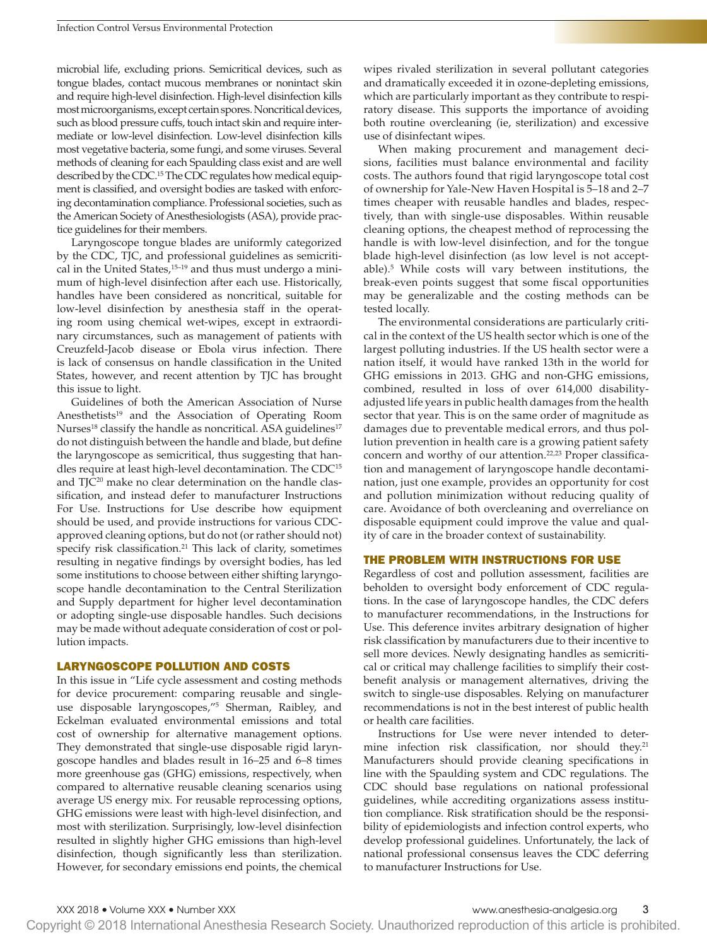microbial life, excluding prions. Semicritical devices, such as tongue blades, contact mucous membranes or nonintact skin and require high-level disinfection. High-level disinfection kills most microorganisms, except certain spores. Noncritical devices, such as blood pressure cuffs, touch intact skin and require intermediate or low-level disinfection. Low-level disinfection kills most vegetative bacteria, some fungi, and some viruses. Several methods of cleaning for each Spaulding class exist and are well described by the CDC.15 The CDC regulates how medical equipment is classified, and oversight bodies are tasked with enforcing decontamination compliance. Professional societies, such as the American Society of Anesthesiologists (ASA), provide practice guidelines for their members.

Laryngoscope tongue blades are uniformly categorized by the CDC, TJC, and professional guidelines as semicritical in the United States,<sup>15-19</sup> and thus must undergo a minimum of high-level disinfection after each use. Historically, handles have been considered as noncritical, suitable for low-level disinfection by anesthesia staff in the operating room using chemical wet-wipes, except in extraordinary circumstances, such as management of patients with Creuzfeld-Jacob disease or Ebola virus infection. There is lack of consensus on handle classification in the United States, however, and recent attention by TJC has brought this issue to light.

Guidelines of both the American Association of Nurse Anesthetists<sup>19</sup> and the Association of Operating Room Nurses<sup>18</sup> classify the handle as noncritical. ASA guidelines<sup>17</sup> do not distinguish between the handle and blade, but define the laryngoscope as semicritical, thus suggesting that handles require at least high-level decontamination. The CDC15 and TJC20 make no clear determination on the handle classification, and instead defer to manufacturer Instructions For Use. Instructions for Use describe how equipment should be used, and provide instructions for various CDCapproved cleaning options, but do not (or rather should not) specify risk classification.<sup>21</sup> This lack of clarity, sometimes resulting in negative findings by oversight bodies, has led some institutions to choose between either shifting laryngoscope handle decontamination to the Central Sterilization and Supply department for higher level decontamination or adopting single-use disposable handles. Such decisions may be made without adequate consideration of cost or pollution impacts.

# LARYNGOSCOPE POLLUTION AND COSTS

In this issue in "Life cycle assessment and costing methods for device procurement: comparing reusable and singleuse disposable laryngoscopes,"5 Sherman, Raibley, and Eckelman evaluated environmental emissions and total cost of ownership for alternative management options. They demonstrated that single-use disposable rigid laryngoscope handles and blades result in 16–25 and 6–8 times more greenhouse gas (GHG) emissions, respectively, when compared to alternative reusable cleaning scenarios using average US energy mix. For reusable reprocessing options, GHG emissions were least with high-level disinfection, and most with sterilization. Surprisingly, low-level disinfection resulted in slightly higher GHG emissions than high-level disinfection, though significantly less than sterilization. However, for secondary emissions end points, the chemical

wipes rivaled sterilization in several pollutant categories and dramatically exceeded it in ozone-depleting emissions, which are particularly important as they contribute to respiratory disease. This supports the importance of avoiding both routine overcleaning (ie, sterilization) and excessive use of disinfectant wipes.

When making procurement and management decisions, facilities must balance environmental and facility costs. The authors found that rigid laryngoscope total cost of ownership for Yale-New Haven Hospital is 5–18 and 2–7 times cheaper with reusable handles and blades, respectively, than with single-use disposables. Within reusable cleaning options, the cheapest method of reprocessing the handle is with low-level disinfection, and for the tongue blade high-level disinfection (as low level is not acceptable).5 While costs will vary between institutions, the break-even points suggest that some fiscal opportunities may be generalizable and the costing methods can be tested locally.

The environmental considerations are particularly critical in the context of the US health sector which is one of the largest polluting industries. If the US health sector were a nation itself, it would have ranked 13th in the world for GHG emissions in 2013. GHG and non-GHG emissions, combined, resulted in loss of over 614,000 disabilityadjusted life years in public health damages from the health sector that year. This is on the same order of magnitude as damages due to preventable medical errors, and thus pollution prevention in health care is a growing patient safety concern and worthy of our attention.22,23 Proper classification and management of laryngoscope handle decontamination, just one example, provides an opportunity for cost and pollution minimization without reducing quality of care. Avoidance of both overcleaning and overreliance on disposable equipment could improve the value and quality of care in the broader context of sustainability.

### THE PROBLEM WITH INSTRUCTIONS FOR USE

Regardless of cost and pollution assessment, facilities are beholden to oversight body enforcement of CDC regulations. In the case of laryngoscope handles, the CDC defers to manufacturer recommendations, in the Instructions for Use. This deference invites arbitrary designation of higher risk classification by manufacturers due to their incentive to sell more devices. Newly designating handles as semicritical or critical may challenge facilities to simplify their costbenefit analysis or management alternatives, driving the switch to single-use disposables. Relying on manufacturer recommendations is not in the best interest of public health or health care facilities.

Instructions for Use were never intended to determine infection risk classification, nor should they.<sup>21</sup> Manufacturers should provide cleaning specifications in line with the Spaulding system and CDC regulations. The CDC should base regulations on national professional guidelines, while accrediting organizations assess institution compliance. Risk stratification should be the responsibility of epidemiologists and infection control experts, who develop professional guidelines. Unfortunately, the lack of national professional consensus leaves the CDC deferring to manufacturer Instructions for Use.

Copyright © 2018 International Anesthesia Research Society. Unauthorized reproduction of this article is prohibited.